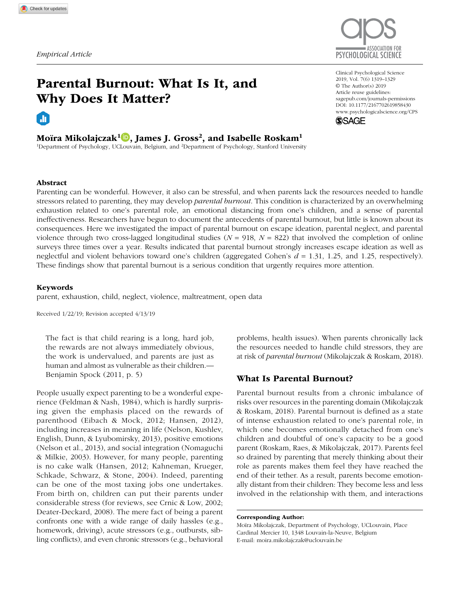# Parental Burnout: What Is It, and Why Does It Matter?

# Moïra Mikolajczak<sup>1</sup><sup>D</sup>, James J. Gross<sup>2</sup>, and Isabelle Roskam<sup>1</sup>

<sup>1</sup>Department of Psychology, UCLouvain, Belgium, and <sup>2</sup>Department of Psychology, Stanford University



DOI: 10.1177/2167702619858430 Clinical Psychological Science 2019, Vol. 7(6) 1319–1329 © The Author(s) 2019 Article reuse guidelines: [sagepub.com/journals-permissions](https://sagepub.com/journals-permissions) [www.psychologicalscience.org/](http://www.psychologicalscience.org/cps)CPS



#### Abstract

 $\mathbf{H}$ 

Parenting can be wonderful. However, it also can be stressful, and when parents lack the resources needed to handle stressors related to parenting, they may develop *parental burnout*. This condition is characterized by an overwhelming exhaustion related to one's parental role, an emotional distancing from one's children, and a sense of parental ineffectiveness. Researchers have begun to document the antecedents of parental burnout, but little is known about its consequences. Here we investigated the impact of parental burnout on escape ideation, parental neglect, and parental violence through two cross-lagged longitudinal studies  $(N = 918, N = 822)$  that involved the completion of online surveys three times over a year. Results indicated that parental burnout strongly increases escape ideation as well as neglectful and violent behaviors toward one's children (aggregated Cohen's *d* = 1.31, 1.25, and 1.25, respectively). These findings show that parental burnout is a serious condition that urgently requires more attention.

#### Keywords

parent, exhaustion, child, neglect, violence, maltreatment, open data

Received 1/22/19; Revision accepted 4/13/19

The fact is that child rearing is a long, hard job, the rewards are not always immediately obvious, the work is undervalued, and parents are just as human and almost as vulnerable as their children.— Benjamin Spock (2011, p. 5)

People usually expect parenting to be a wonderful experience (Feldman & Nash, 1984), which is hardly surprising given the emphasis placed on the rewards of parenthood (Eibach & Mock, 2012; Hansen, 2012), including increases in meaning in life (Nelson, Kushlev, English, Dunn, & Lyubomirsky, 2013), positive emotions (Nelson et al., 2013), and social integration (Nomaguchi & Milkie, 2003). However, for many people, parenting is no cake walk (Hansen, 2012; Kahneman, Krueger, Schkade, Schwarz, & Stone, 2004). Indeed, parenting can be one of the most taxing jobs one undertakes. From birth on, children can put their parents under considerable stress (for reviews, see Crnic & Low, 2002; Deater-Deckard, 2008). The mere fact of being a parent confronts one with a wide range of daily hassles (e.g., homework, driving), acute stressors (e.g., outbursts, sibling conflicts), and even chronic stressors (e.g., behavioral problems, health issues). When parents chronically lack the resources needed to handle child stressors, they are at risk of *parental burnout* (Mikolajczak & Roskam, 2018).

# What Is Parental Burnout?

Parental burnout results from a chronic imbalance of risks over resources in the parenting domain (Mikolajczak & Roskam, 2018). Parental burnout is defined as a state of intense exhaustion related to one's parental role, in which one becomes emotionally detached from one's children and doubtful of one's capacity to be a good parent (Roskam, Raes, & Mikolajczak, 2017). Parents feel so drained by parenting that merely thinking about their role as parents makes them feel they have reached the end of their tether. As a result, parents become emotionally distant from their children: They become less and less involved in the relationship with them, and interactions

Moïra Mikolajczak, Department of Psychology, UCLouvain, Place Cardinal Mercier 10, 1348 Louvain-la-Neuve, Belgium E-mail: [moira.mikolajczak@uclouvain.be](mailto:moira.mikolajczak@uclouvain.be)

Corresponding Author: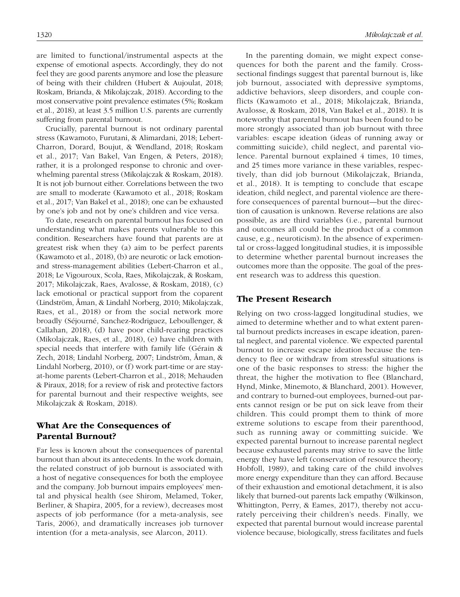are limited to functional/instrumental aspects at the expense of emotional aspects. Accordingly, they do not feel they are good parents anymore and lose the pleasure of being with their children (Hubert & Aujoulat, 2018; Roskam, Brianda, & Mikolajczak, 2018). According to the most conservative point prevalence estimates (5%; Roskam et al., 2018), at least 3.5 million U.S. parents are currently suffering from parental burnout.

Crucially, parental burnout is not ordinary parental stress (Kawamoto, Furutani, & Alimardani, 2018; Lebert-Charron, Dorard, Boujut, & Wendland, 2018; Roskam et al., 2017; Van Bakel, Van Engen, & Peters, 2018); rather, it is a prolonged response to chronic and overwhelming parental stress (Mikolajczak & Roskam, 2018). It is not job burnout either. Correlations between the two are small to moderate (Kawamoto et al., 2018; Roskam et al., 2017; Van Bakel et al., 2018); one can be exhausted by one's job and not by one's children and vice versa.

To date, research on parental burnout has focused on understanding what makes parents vulnerable to this condition. Researchers have found that parents are at greatest risk when they (a) aim to be perfect parents (Kawamoto et al., 2018), (b) are neurotic or lack emotionand stress-management abilities (Lebert-Charron et al., 2018; Le Vigouroux, Scola, Raes, Mikolajczak, & Roskam, 2017; Mikolajczak, Raes, Avalosse, & Roskam, 2018), (c) lack emotional or practical support from the coparent (Lindström, Åman, & Lindahl Norberg, 2010; Mikolajczak, Raes, et al., 2018) or from the social network more broadly (Séjourné, Sanchez-Rodriguez, Leboullenger, & Callahan, 2018), (d) have poor child-rearing practices (Mikolajczak, Raes, et al., 2018), (e) have children with special needs that interfere with family life (Gérain & Zech, 2018; Lindahl Norberg, 2007; Lindström, Åman, & Lindahl Norberg, 2010), or (f) work part-time or are stayat-home parents (Lebert-Charron et al., 2018; Mehauden & Piraux, 2018; for a review of risk and protective factors for parental burnout and their respective weights, see Mikolajczak & Roskam, 2018).

# What Are the Consequences of Parental Burnout?

Far less is known about the consequences of parental burnout than about its antecedents. In the work domain, the related construct of job burnout is associated with a host of negative consequences for both the employee and the company. Job burnout impairs employees' mental and physical health (see Shirom, Melamed, Toker, Berliner, & Shapira, 2005, for a review), decreases most aspects of job performance (for a meta-analysis, see Taris, 2006), and dramatically increases job turnover intention (for a meta-analysis, see Alarcon, 2011).

In the parenting domain, we might expect consequences for both the parent and the family. Crosssectional findings suggest that parental burnout is, like job burnout, associated with depressive symptoms, addictive behaviors, sleep disorders, and couple conflicts (Kawamoto et al., 2018; Mikolajczak, Brianda, Avalosse, & Roskam, 2018, Van Bakel et al., 2018). It is noteworthy that parental burnout has been found to be more strongly associated than job burnout with three variables: escape ideation (ideas of running away or committing suicide), child neglect, and parental violence. Parental burnout explained 4 times, 10 times, and 25 times more variance in these variables, respectively, than did job burnout (Mikolajczak, Brianda, et al., 2018). It is tempting to conclude that escape ideation, child neglect, and parental violence are therefore consequences of parental burnout—but the direction of causation is unknown. Reverse relations are also possible, as are third variables (i.e., parental burnout and outcomes all could be the product of a common cause, e.g., neuroticism). In the absence of experimental or cross-lagged longitudinal studies, it is impossible to determine whether parental burnout increases the outcomes more than the opposite. The goal of the present research was to address this question.

# The Present Research

Relying on two cross-lagged longitudinal studies, we aimed to determine whether and to what extent parental burnout predicts increases in escape ideation, parental neglect, and parental violence. We expected parental burnout to increase escape ideation because the tendency to flee or withdraw from stressful situations is one of the basic responses to stress: the higher the threat, the higher the motivation to flee (Blanchard, Hynd, Minke, Minemoto, & Blanchard, 2001). However, and contrary to burned-out employees, burned-out parents cannot resign or be put on sick leave from their children. This could prompt them to think of more extreme solutions to escape from their parenthood, such as running away or committing suicide. We expected parental burnout to increase parental neglect because exhausted parents may strive to save the little energy they have left (conservation of resource theory; Hobfoll, 1989), and taking care of the child involves more energy expenditure than they can afford. Because of their exhaustion and emotional detachment, it is also likely that burned-out parents lack empathy (Wilkinson, Whittington, Perry, & Eames, 2017), thereby not accurately perceiving their children's needs. Finally, we expected that parental burnout would increase parental violence because, biologically, stress facilitates and fuels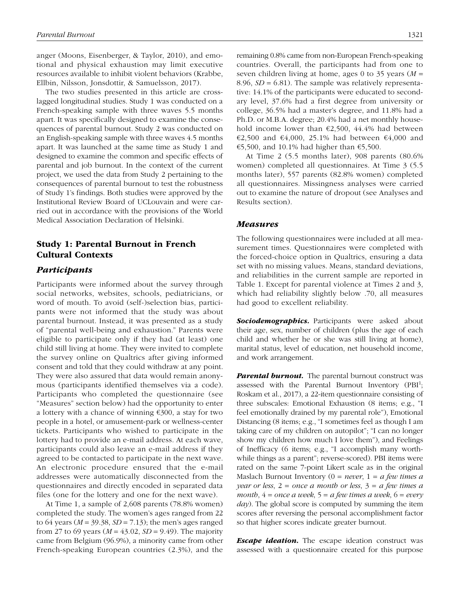anger (Moons, Eisenberger, & Taylor, 2010), and emotional and physical exhaustion may limit executive resources available to inhibit violent behaviors (Krabbe, Ellbin, Nilsson, Jonsdottir, & Samuelsson, 2017).

The two studies presented in this article are crosslagged longitudinal studies. Study 1 was conducted on a French-speaking sample with three waves 5.5 months apart. It was specifically designed to examine the consequences of parental burnout. Study 2 was conducted on an English-speaking sample with three waves 4.5 months apart. It was launched at the same time as Study 1 and designed to examine the common and specific effects of parental and job burnout. In the context of the current project, we used the data from Study 2 pertaining to the consequences of parental burnout to test the robustness of Study 1's findings. Both studies were approved by the Institutional Review Board of UCLouvain and were carried out in accordance with the provisions of the World Medical Association Declaration of Helsinki.

# Study 1: Parental Burnout in French Cultural Contexts

## *Participants*

Participants were informed about the survey through social networks, websites, schools, pediatricians, or word of mouth. To avoid (self-)selection bias, participants were not informed that the study was about parental burnout. Instead, it was presented as a study of "parental well-being and exhaustion." Parents were eligible to participate only if they had (at least) one child still living at home. They were invited to complete the survey online on Qualtrics after giving informed consent and told that they could withdraw at any point. They were also assured that data would remain anonymous (participants identified themselves via a code). Participants who completed the questionnaire (see "Measures" section below) had the opportunity to enter a lottery with a chance of winning €300, a stay for two people in a hotel, or amusement-park or wellness-center tickets. Participants who wished to participate in the lottery had to provide an e-mail address. At each wave, participants could also leave an e-mail address if they agreed to be contacted to participate in the next wave. An electronic procedure ensured that the e-mail addresses were automatically disconnected from the questionnaires and directly encoded in separated data files (one for the lottery and one for the next wave).

At Time 1, a sample of 2,608 parents (78.8% women) completed the study. The women's ages ranged from 22 to 64 years (*M* = 39.38, *SD* = 7.13); the men's ages ranged from 27 to 69 years  $(M = 43.02, SD = 9.49)$ . The majority came from Belgium (96.9%), a minority came from other French-speaking European countries (2.3%), and the remaining 0.8% came from non-European French-speaking countries. Overall, the participants had from one to seven children living at home, ages 0 to 35 years (*M* = 8.96,  $SD = 6.81$ ). The sample was relatively representative: 14.1% of the participants were educated to secondary level, 37.6% had a first degree from university or college, 36.5% had a master's degree, and 11.8% had a Ph.D. or M.B.A. degree; 20.4% had a net monthly household income lower than  $€2,500, 44.4\%$  had between €2,500 and €4,000, 25.1% had between €4,000 and €5,500, and 10.1% had higher than €5,500.

At Time 2 (5.5 months later), 908 parents (80.6% women) completed all questionnaires. At Time 3 (5.5 months later), 557 parents (82.8% women) completed all questionnaires. Missingness analyses were carried out to examine the nature of dropout (see Analyses and Results section).

#### *Measures*

The following questionnaires were included at all measurement times. Questionnaires were completed with the forced-choice option in Qualtrics, ensuring a data set with no missing values. Means, standard deviations, and reliabilities in the current sample are reported in Table 1. Except for parental violence at Times 2 and 3, which had reliability slightly below .70, all measures had good to excellent reliability.

**Sociodemographics.** Participants were asked about their age, sex, number of children (plus the age of each child and whether he or she was still living at home), marital status, level of education, net household income, and work arrangement.

*Parental burnout.* The parental burnout construct was assessed with the Parental Burnout Inventory  $(PBI<sup>1</sup>;$ Roskam et al., 2017), a 22-item questionnaire consisting of three subscales: Emotional Exhaustion (8 items; e.g., "I feel emotionally drained by my parental role"), Emotional Distancing (8 items; e.g., "I sometimes feel as though I am taking care of my children on autopilot"; "I can no longer show my children how much I love them"), and Feelings of Inefficacy (6 items; e.g., "I accomplish many worthwhile things as a parent"; reverse-scored). PBI items were rated on the same 7-point Likert scale as in the original Maslach Burnout Inventory (0 = *never*, 1 = *a few times a year or less*, 2 = *once a month or less*, 3 = *a few times a month*, 4 = *once a week*, 5 = *a few times a week*, 6 = *every day*). The global score is computed by summing the item scores after reversing the personal accomplishment factor so that higher scores indicate greater burnout.

*Escape ideation.* The escape ideation construct was assessed with a questionnaire created for this purpose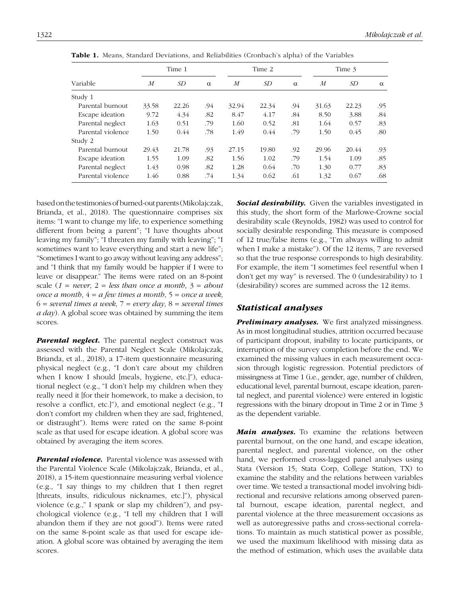| Variable          | Time 1 |       |          | Time 2 |       |          | Time 3 |       |          |  |
|-------------------|--------|-------|----------|--------|-------|----------|--------|-------|----------|--|
|                   | М      | SD    | $\alpha$ | M      | SD    | $\alpha$ | М      | SD    | $\alpha$ |  |
| Study 1           |        |       |          |        |       |          |        |       |          |  |
| Parental burnout  | 33.58  | 22.26 | .94      | 32.94  | 22.34 | .94      | 31.63  | 22.23 | .95      |  |
| Escape ideation   | 9.72   | 4.34  | .82      | 8.47   | 4.17  | .84      | 8.50   | 3.88  | .84      |  |
| Parental neglect  | 1.63   | 0.51  | .79      | 1.60   | 0.52  | .81      | 1.64   | 0.57  | .83      |  |
| Parental violence | 1.50   | 0.44  | .78      | 1.49   | 0.44  | .79      | 1.50   | 0.45  | .80      |  |
| Study 2           |        |       |          |        |       |          |        |       |          |  |
| Parental burnout  | 29.43  | 21.78 | .93      | 27.15  | 19.80 | .92      | 29.96  | 20.44 | .93      |  |
| Escape ideation   | 1.55   | 1.09  | .82      | 1.56   | 1.02  | .79      | 1.54   | 1.09  | .85      |  |
| Parental neglect  | 1.43   | 0.98  | .82      | 1.28   | 0.64  | .70      | 1.30   | 0.77  | .83      |  |
| Parental violence | 1.46   | 0.88  | .74      | 1.34   | 0.62  | .61      | 1.32   | 0.67  | .68      |  |
|                   |        |       |          |        |       |          |        |       |          |  |

Table 1. Means, Standard Deviations, and Reliabilities (Cronbach's alpha) of the Variables

based on the testimonies of burned-out parents (Mikolajczak, Brianda, et al., 2018). The questionnaire comprises six items: "I want to change my life, to experience something different from being a parent"; "I have thoughts about leaving my family"; "I threaten my family with leaving"; "I sometimes want to leave everything and start a new life"; "Sometimes I want to go away without leaving any address"; and "I think that my family would be happier if I were to leave or disappear." The items were rated on an 8-point scale  $(1 = never, 2 = less than once a month, 3 = about)$ *once a month*, 4 = *a few times a month*, 5 = *once a week*, 6 = *several times a week*, 7 = *every day*, 8 = *several times a day*). A global score was obtained by summing the item scores.

*Parental neglect.* The parental neglect construct was assessed with the Parental Neglect Scale (Mikolajczak, Brianda, et al., 2018), a 17-item questionnaire measuring physical neglect (e.g., "I don't care about my children when I know I should [meals, hygiene, etc.]"), educational neglect (e.g., "I don't help my children when they really need it [for their homework, to make a decision, to resolve a conflict, etc.]"), and emotional neglect (e.g., "I don't comfort my children when they are sad, frightened, or distraught"). Items were rated on the same 8-point scale as that used for escape ideation. A global score was obtained by averaging the item scores.

**Parental violence.** Parental violence was assessed with the Parental Violence Scale (Mikolajczak, Brianda, et al., 2018), a 15-item questionnaire measuring verbal violence (e.g., "I say things to my children that I then regret [threats, insults, ridiculous nicknames, etc.]"), physical violence (e.g.," I spank or slap my children"), and psychological violence (e.g., "I tell my children that I will abandon them if they are not good"). Items were rated on the same 8-point scale as that used for escape ideation. A global score was obtained by averaging the item scores.

*Social desirability.* Given the variables investigated in this study, the short form of the Marlowe-Crowne social desirability scale (Reynolds, 1982) was used to control for socially desirable responding. This measure is composed of 12 true/false items (e.g., "I'm always willing to admit when I make a mistake"). Of the 12 items, 7 are reversed so that the true response corresponds to high desirability. For example, the item "I sometimes feel resentful when I don't get my way" is reversed. The 0 (undesirability) to 1 (desirability) scores are summed across the 12 items.

# *Statistical analyses*

*Preliminary analyses.* We first analyzed missingness. As in most longitudinal studies, attrition occurred because of participant dropout, inability to locate participants, or interruption of the survey completion before the end. We examined the missing values in each measurement occasion through logistic regression. Potential predictors of missingness at Time 1 (i.e., gender, age, number of children, educational level, parental burnout, escape ideation, parental neglect, and parental violence) were entered in logistic regressions with the binary dropout in Time 2 or in Time 3 as the dependent variable.

*Main analyses.* To examine the relations between parental burnout, on the one hand, and escape ideation, parental neglect, and parental violence, on the other hand, we performed cross-lagged panel analyses using Stata (Version 15; Stata Corp, College Station, TX) to examine the stability and the relations between variables over time. We tested a transactional model involving bidirectional and recursive relations among observed parental burnout, escape ideation, parental neglect, and parental violence at the three measurement occasions as well as autoregressive paths and cross-sectional correlations. To maintain as much statistical power as possible, we used the maximum likelihood with missing data as the method of estimation, which uses the available data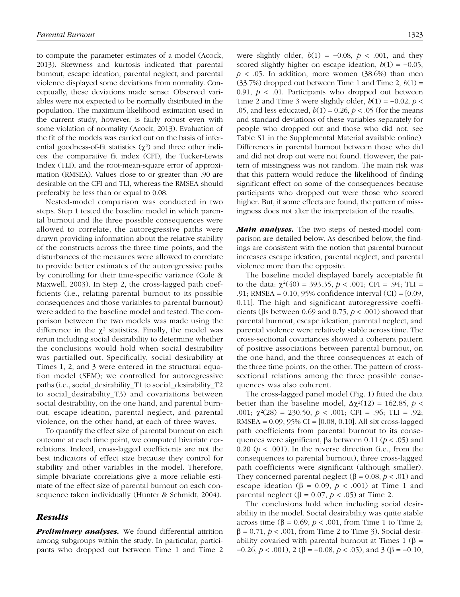to compute the parameter estimates of a model (Acock, 2013). Skewness and kurtosis indicated that parental burnout, escape ideation, parental neglect, and parental violence displayed some deviations from normality. Conceptually, these deviations made sense: Observed variables were not expected to be normally distributed in the population. The maximum-likelihood estimation used in the current study, however, is fairly robust even with some violation of normality (Acock, 2013). Evaluation of the fit of the models was carried out on the basis of inferential goodness-of-fit statistics  $(\chi^2)$  and three other indices: the comparative fit index (CFI), the Tucker-Lewis Index (TLI), and the root-mean-square error of approximation (RMSEA). Values close to or greater than .90 are desirable on the CFI and TLI, whereas the RMSEA should preferably be less than or equal to 0.08.

Nested-model comparison was conducted in two steps. Step 1 tested the baseline model in which parental burnout and the three possible consequences were allowed to correlate, the autoregressive paths were drawn providing information about the relative stability of the constructs across the three time points, and the disturbances of the measures were allowed to correlate to provide better estimates of the autoregressive paths by controlling for their time-specific variance (Cole & Maxwell, 2003). In Step 2, the cross-lagged path coefficients (i.e., relating parental burnout to its possible consequences and those variables to parental burnout) were added to the baseline model and tested. The comparison between the two models was made using the difference in the  $\chi^2$  statistics. Finally, the model was rerun including social desirability to determine whether the conclusions would hold when social desirability was partialled out. Specifically, social desirability at Times 1, 2, and 3 were entered in the structural equation model (SEM); we controlled for autoregressive paths (i.e., social\_desirability\_T1 to social\_desirability\_T2 to social\_desirability\_T3) and covariations between social desirability, on the one hand, and parental burnout, escape ideation, parental neglect, and parental violence, on the other hand, at each of three waves.

To quantify the effect size of parental burnout on each outcome at each time point, we computed bivariate correlations. Indeed, cross-lagged coefficients are not the best indicators of effect size because they control for stability and other variables in the model. Therefore, simple bivariate correlations give a more reliable estimate of the effect size of parental burnout on each consequence taken individually (Hunter & Schmidt, 2004).

#### *Results*

**Preliminary analyses.** We found differential attrition among subgroups within the study. In particular, participants who dropped out between Time 1 and Time 2 were slightly older,  $b(1) = -0.08$ ,  $p < .001$ , and they scored slightly higher on escape ideation,  $b(1) = -0.05$ ,  $p < .05$ . In addition, more women (38.6%) than men  $(33.7%)$  dropped out between Time 1 and Time 2,  $b(1) =$ 0.91,  $p < 0.01$ . Participants who dropped out between Time 2 and Time 3 were slightly older,  $b(1) = -0.02$ ,  $p <$ .05, and less educated,  $b(1) = 0.26$ ,  $p < .05$  (for the means and standard deviations of these variables separately for people who dropped out and those who did not, see Table S1 in the Supplemental Material available online). Differences in parental burnout between those who did and did not drop out were not found. However, the pattern of missingness was not random. The main risk was that this pattern would reduce the likelihood of finding significant effect on some of the consequences because participants who dropped out were those who scored higher. But, if some effects are found, the pattern of missingness does not alter the interpretation of the results.

*Main analyses.* The two steps of nested-model comparison are detailed below. As described below, the findings are consistent with the notion that parental burnout increases escape ideation, parental neglect, and parental violence more than the opposite.

The baseline model displayed barely acceptable fit to the data:  $\chi^2(40) = 393.35, p < .001$ ; CFI = .94; TLI = .91; RMSEA = 0.10, 95% confidence interval (CI) = [0.09, 0.11]. The high and significant autoregressive coefficients (βs between 0.69 and 0.75, *p* < .001) showed that parental burnout, escape ideation, parental neglect, and parental violence were relatively stable across time. The cross-sectional covariances showed a coherent pattern of positive associations between parental burnout, on the one hand, and the three consequences at each of the three time points, on the other. The pattern of crosssectional relations among the three possible consequences was also coherent.

The cross-lagged panel model (Fig. 1) fitted the data better than the baseline model,  $\Delta \chi^2(12) = 162.85$ ,  $p <$ .001;  $\chi^2(28) = 230.50, p < .001$ ; CFI = .96; TLI = .92; RMSEA =  $0.09$ ,  $95\%$  CI =  $[0.08, 0.10]$ . All six cross-lagged path coefficients from parental burnout to its consequences were significant, βs between 0.11 (*p* < .05) and 0.20 ( $p < .001$ ). In the reverse direction (i.e., from the consequences to parental burnout), three cross-lagged path coefficients were significant (although smaller). They concerned parental neglect ( $\beta$  = 0.08,  $p$  < .01) and escape ideation (β = 0.09,  $p$  < .001) at Time 1 and parental neglect (β = 0.07, *p* < .05) at Time 2.

The conclusions hold when including social desirability in the model. Social desirability was quite stable across time (β = 0.69,  $p < .001$ , from Time 1 to Time 2;  $β = 0.71, p < .001$ , from Time 2 to Time 3). Social desirability covaried with parental burnout at Times 1 ( $\beta$  = −0.26, *p* < .001), 2 (β = −0.08, *p* < .05), and 3 (β = −0.10,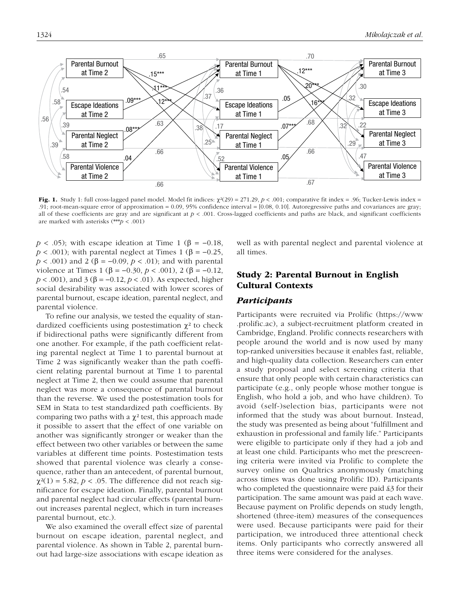

Fig. 1. Study 1: full cross-lagged panel model. Model fit indices:  $\chi^2(29) = 271.29$ ,  $p < .001$ ; comparative fit index = .96; Tucker-Lewis index = .91; root-mean-square error of approximation = 0.09, 95% confidence interval = [0.08, 0.10]. Autoregressive paths and covariances are gray; all of these coefficients are gray and are significant at  $p < .001$ . Cross-lagged coefficients and paths are black, and significant coefficients are marked with asterisks (\*\*\**p* < .001)

 *< .05); with escape ideation at Time 1 (* $\beta$  *= -0.18, < .001); with parental neglect at Times 1 (* $\beta$  *= -0.25, p* < .001) and 2 (β = -0.09, *p* < .01); and with parental violence at Times 1 (β = -0.30, *p* < .001), 2 (β = -0.12, *p* < .001), and 3 (β = -0.12, *p* < .01). As expected, higher social desirability was associated with lower scores of parental burnout, escape ideation, parental neglect, and parental violence.

To refine our analysis, we tested the equality of standardized coefficients using postestimation  $\chi^2$  to check if bidirectional paths were significantly different from one another. For example, if the path coefficient relating parental neglect at Time 1 to parental burnout at Time 2 was significantly weaker than the path coefficient relating parental burnout at Time 1 to parental neglect at Time 2, then we could assume that parental neglect was more a consequence of parental burnout than the reverse. We used the postestimation tools for SEM in Stata to test standardized path coefficients. By comparing two paths with a  $\chi^2$  test, this approach made it possible to assert that the effect of one variable on another was significantly stronger or weaker than the effect between two other variables or between the same variables at different time points. Postestimation tests showed that parental violence was clearly a consequence, rather than an antecedent, of parental burnout,  $\chi^2(1) = 5.82$ ,  $p < .05$ . The difference did not reach significance for escape ideation. Finally, parental burnout and parental neglect had circular effects (parental burnout increases parental neglect, which in turn increases parental burnout, etc.).

We also examined the overall effect size of parental burnout on escape ideation, parental neglect, and parental violence. As shown in Table 2, parental burnout had large-size associations with escape ideation as well as with parental neglect and parental violence at all times.

# Study 2: Parental Burnout in English Cultural Contexts

## *Participants*

Participants were recruited via Prolific ([https://www](https://www.prolific.ac) [.prolific.ac\)](https://www.prolific.ac), a subject-recruitment platform created in Cambridge, England. Prolific connects researchers with people around the world and is now used by many top-ranked universities because it enables fast, reliable, and high-quality data collection. Researchers can enter a study proposal and select screening criteria that ensure that only people with certain characteristics can participate (e.g., only people whose mother tongue is English, who hold a job, and who have children). To avoid (self-)selection bias, participants were not informed that the study was about burnout. Instead, the study was presented as being about "fulfillment and exhaustion in professional and family life." Participants were eligible to participate only if they had a job and at least one child. Participants who met the prescreening criteria were invited via Prolific to complete the survey online on Qualtrics anonymously (matching across times was done using Prolific ID). Participants who completed the questionnaire were paid £3 for their participation. The same amount was paid at each wave. Because payment on Prolific depends on study length, shortened (three-item) measures of the consequences were used. Because participants were paid for their participation, we introduced three attentional check items. Only participants who correctly answered all three items were considered for the analyses.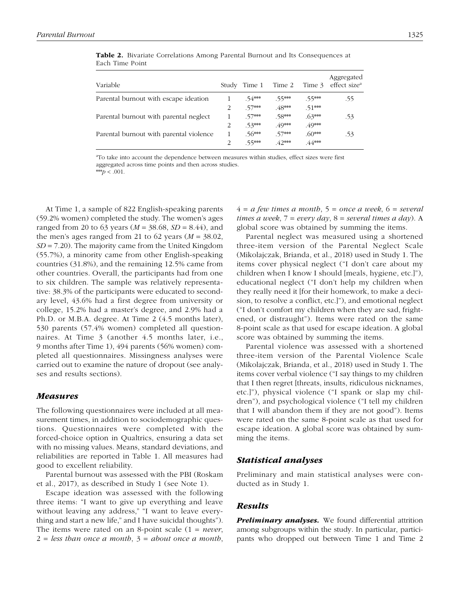| Variable                                | Study | Time 1   | Time 2   |          | Aggregated<br>Time 3 effect size <sup>a</sup> |
|-----------------------------------------|-------|----------|----------|----------|-----------------------------------------------|
| Parental burnout with escape ideation   |       | $.54***$ | $.55***$ | .55***   | .55                                           |
|                                         |       | 57***    | .48***   | $.51***$ |                                               |
| Parental burnout with parental neglect  |       | $.57***$ | .58***   | $.63***$ | .53                                           |
|                                         |       | $.53***$ | $.49***$ | .49***   |                                               |
| Parental burnout with parental violence |       | $.56***$ | $.57***$ | .60***   | .53                                           |
|                                         |       | .55***   | $42***$  | 44***    |                                               |

Table 2. Bivariate Correlations Among Parental Burnout and Its Consequences at Each Time Point

a To take into account the dependence between measures within studies, effect sizes were first aggregated across time points and then across studies.

\*\**p* < .001.

At Time 1, a sample of 822 English-speaking parents (59.2% women) completed the study. The women's ages ranged from 20 to 63 years (*M* = 38.68, *SD* = 8.44), and the men's ages ranged from 21 to 62 years  $(M = 38.02,$ *SD* = 7.20). The majority came from the United Kingdom (55.7%), a minority came from other English-speaking countries (31.8%), and the remaining 12.5% came from other countries. Overall, the participants had from one to six children. The sample was relatively representative: 38.3% of the participants were educated to secondary level, 43.6% had a first degree from university or college, 15.2% had a master's degree, and 2.9% had a Ph.D. or M.B.A. degree. At Time 2 (4.5 months later), 530 parents (57.4% women) completed all questionnaires. At Time 3 (another 4.5 months later, i.e., 9 months after Time 1), 494 parents (56% women) completed all questionnaires. Missingness analyses were carried out to examine the nature of dropout (see analyses and results sections).

#### *Measures*

The following questionnaires were included at all measurement times, in addition to sociodemographic questions. Questionnaires were completed with the forced-choice option in Qualtrics, ensuring a data set with no missing values. Means, standard deviations, and reliabilities are reported in Table 1. All measures had good to excellent reliability.

Parental burnout was assessed with the PBI (Roskam et al., 2017), as described in Study 1 (see Note 1).

Escape ideation was assessed with the following three items: "I want to give up everything and leave without leaving any address," "I want to leave everything and start a new life," and I have suicidal thoughts"). The items were rated on an 8-point scale (1 = *never*, 2 = *less than once a month*, 3 = *about once a month*,

4 = *a few times a month*, 5 = *once a week*, 6 = *several times a week*, 7 = *every day*, 8 = *several times a day*). A global score was obtained by summing the items.

Parental neglect was measured using a shortened three-item version of the Parental Neglect Scale (Mikolajczak, Brianda, et al., 2018) used in Study 1. The items cover physical neglect ("I don't care about my children when I know I should [meals, hygiene, etc.]"), educational neglect ("I don't help my children when they really need it [for their homework, to make a decision, to resolve a conflict, etc.]"), and emotional neglect ("I don't comfort my children when they are sad, frightened, or distraught"). Items were rated on the same 8-point scale as that used for escape ideation. A global score was obtained by summing the items.

Parental violence was assessed with a shortened three-item version of the Parental Violence Scale (Mikolajczak, Brianda, et al., 2018) used in Study 1. The items cover verbal violence ("I say things to my children that I then regret [threats, insults, ridiculous nicknames, etc.]"), physical violence ("I spank or slap my children"), and psychological violence ("I tell my children that I will abandon them if they are not good"). Items were rated on the same 8-point scale as that used for escape ideation. A global score was obtained by summing the items.

#### *Statistical analyses*

Preliminary and main statistical analyses were conducted as in Study 1.

# *Results*

**Preliminary analyses.** We found differential attrition among subgroups within the study. In particular, participants who dropped out between Time 1 and Time 2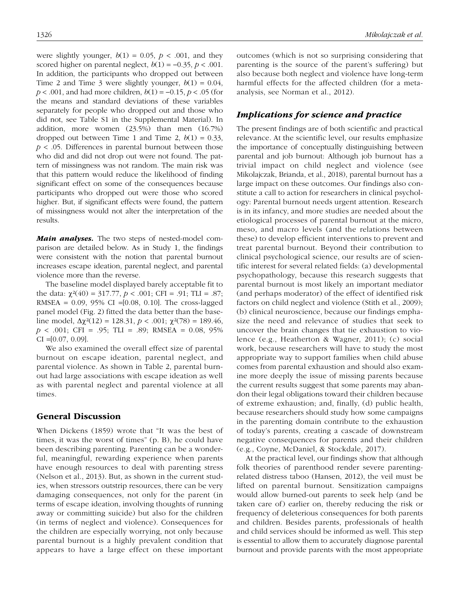were slightly younger,  $b(1) = 0.05$ ,  $p < .001$ , and they scored higher on parental neglect,  $b(1) = -0.35$ ,  $p < .001$ . In addition, the participants who dropped out between Time 2 and Time 3 were slightly younger,  $b(1) = 0.04$ , *p* < .001, and had more children, *b*(1) = −0.15, *p* < .05 (for the means and standard deviations of these variables separately for people who dropped out and those who did not, see Table S1 in the Supplemental Material). In addition, more women (23.5%) than men (16.7%) dropped out between Time 1 and Time 2,  $b(1) = 0.33$ , *p* < .05. Differences in parental burnout between those who did and did not drop out were not found. The pattern of missingness was not random. The main risk was that this pattern would reduce the likelihood of finding significant effect on some of the consequences because participants who dropped out were those who scored higher. But, if significant effects were found, the pattern of missingness would not alter the interpretation of the results.

*Main analyses.* The two steps of nested-model comparison are detailed below. As in Study 1, the findings were consistent with the notion that parental burnout increases escape ideation, parental neglect, and parental violence more than the reverse.

The baseline model displayed barely acceptable fit to the data:  $\chi^2(40) = 317.77$ ,  $p < .001$ ; CFI = .91; TLI = .87; RMSEA =  $0.09$ ,  $95\%$  CI =  $[0.08, 0.10]$ . The cross-lagged panel model (Fig. 2) fitted the data better than the baseline model,  $\Delta \chi^2(12) = 128.31, p < .001; \chi^2(78) = 189.46,$  $p \lt 0.001$ ; CFI = .95; TLI = .89; RMSEA = 0.08, 95%  $CI = [0.07, 0.09].$ 

We also examined the overall effect size of parental burnout on escape ideation, parental neglect, and parental violence. As shown in Table 2, parental burnout had large associations with escape ideation as well as with parental neglect and parental violence at all times.

# General Discussion

When Dickens (1859) wrote that "It was the best of times, it was the worst of times" (p. B), he could have been describing parenting. Parenting can be a wonderful, meaningful, rewarding experience when parents have enough resources to deal with parenting stress (Nelson et al., 2013). But, as shown in the current studies, when stressors outstrip resources, there can be very damaging consequences, not only for the parent (in terms of escape ideation, involving thoughts of running away or committing suicide) but also for the children (in terms of neglect and violence). Consequences for the children are especially worrying, not only because parental burnout is a highly prevalent condition that appears to have a large effect on these important outcomes (which is not so surprising considering that parenting is the source of the parent's suffering) but also because both neglect and violence have long-term harmful effects for the affected children (for a metaanalysis, see Norman et al., 2012).

## *Implications for science and practice*

The present findings are of both scientific and practical relevance. At the scientific level, our results emphasize the importance of conceptually distinguishing between parental and job burnout: Although job burnout has a trivial impact on child neglect and violence (see Mikolajczak, Brianda, et al., 2018), parental burnout has a large impact on these outcomes. Our findings also constitute a call to action for researchers in clinical psychology: Parental burnout needs urgent attention. Research is in its infancy, and more studies are needed about the etiological processes of parental burnout at the micro, meso, and macro levels (and the relations between these) to develop efficient interventions to prevent and treat parental burnout. Beyond their contribution to clinical psychological science, our results are of scientific interest for several related fields: (a) developmental psychopathology, because this research suggests that parental burnout is most likely an important mediator (and perhaps moderator) of the effect of identified risk factors on child neglect and violence (Stith et al., 2009); (b) clinical neuroscience, because our findings emphasize the need and relevance of studies that seek to uncover the brain changes that tie exhaustion to violence (e.g., Heatherton & Wagner, 2011); (c) social work, because researchers will have to study the most appropriate way to support families when child abuse comes from parental exhaustion and should also examine more deeply the issue of missing parents because the current results suggest that some parents may abandon their legal obligations toward their children because of extreme exhaustion; and, finally, (d) public health, because researchers should study how some campaigns in the parenting domain contribute to the exhaustion of today's parents, creating a cascade of downstream negative consequences for parents and their children (e.g., Coyne, McDaniel, & Stockdale, 2017).

At the practical level, our findings show that although folk theories of parenthood render severe parentingrelated distress taboo (Hansen, 2012), the veil must be lifted on parental burnout. Sensitization campaigns would allow burned-out parents to seek help (and be taken care of) earlier on, thereby reducing the risk or frequency of deleterious consequences for both parents and children. Besides parents, professionals of health and child services should be informed as well. This step is essential to allow them to accurately diagnose parental burnout and provide parents with the most appropriate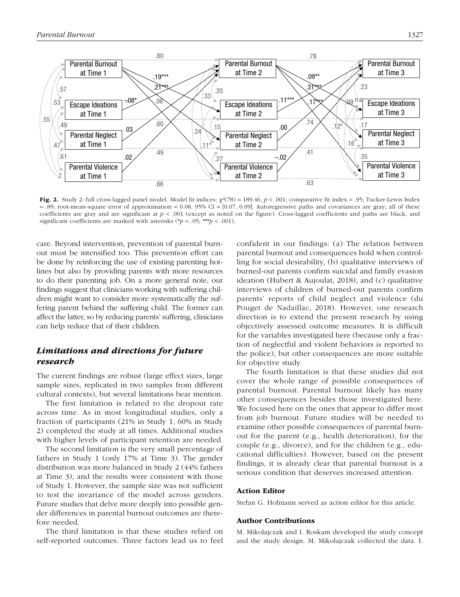

Fig. 2. Study 2: full cross-lagged panel model. Model fit indices:  $\chi^2(78) = 189.46$ ,  $p < .001$ ; comparative fit index = .95; Tucker-Lewis Index  $=$  .89; root-mean-square error of approximation  $=$  0.08, 95% CI  $=$  [0.07, 0.09]. Autoregressive paths and covariances are gray; all of these coefficients are gray and are significant at *p* < .001 (except as noted on the figure). Cross-lagged coefficients and paths are black, and significant coefficients are marked with asterisks ( $p < .05$ ; \*\*\* $p < .001$ ).

care. Beyond intervention, prevention of parental burnout must be intensified too. This prevention effort can be done by reinforcing the use of existing parenting hotlines but also by providing parents with more resources to do their parenting job. On a more general note, our findings suggest that clinicians working with suffering children might want to consider more systematically the suffering parent behind the suffering child. The former can affect the latter, so by reducing parents' suffering, clinicians can help reduce that of their children.

# *Limitations and directions for future research*

The current findings are robust (large effect sizes, large sample sizes, replicated in two samples from different cultural contexts), but several limitations bear mention.

The first limitation is related to the dropout rate across time. As in most longitudinal studies, only a fraction of participants (21% in Study 1, 60% in Study 2) completed the study at all times. Additional studies with higher levels of participant retention are needed.

The second limitation is the very small percentage of fathers in Study 1 (only 17% at Time 3). The gender distribution was more balanced in Study 2 (44% fathers at Time 3), and the results were consistent with those of Study 1. However, the sample size was not sufficient to test the invariance of the model across genders. Future studies that delve more deeply into possible gender differences in parental burnout outcomes are therefore needed.

The third limitation is that these studies relied on self-reported outcomes. Three factors lead us to feel confident in our findings: (a) The relation between parental burnout and consequences hold when controlling for social desirability, (b) qualitative interviews of burned-out parents confirm suicidal and family evasion ideation (Hubert & Aujoulat, 2018), and (c) qualitative interviews of children of burned-out parents confirm parents' reports of child neglect and violence (du Pouget de Nadaillac, 2018). However, one research direction is to extend the present research by using objectively assessed outcome measures. It is difficult for the variables investigated here (because only a fraction of neglectful and violent behaviors is reported to the police), but other consequences are more suitable for objective study.

The fourth limitation is that these studies did not cover the whole range of possible consequences of parental burnout. Parental burnout likely has many other consequences besides those investigated here. We focused here on the ones that appear to differ most from job burnout. Future studies will be needed to examine other possible consequences of parental burnout for the parent (e.g., health deterioration), for the couple (e.g., divorce), and for the children (e.g., educational difficulties). However, based on the present findings, it is already clear that parental burnout is a serious condition that deserves increased attention.

#### Action Editor

Stefan G. Hofmann served as action editor for this article.

#### Author Contributions

M. Mikolajczak and I. Roskam developed the study concept and the study design. M. Mikolajczak collected the data. I.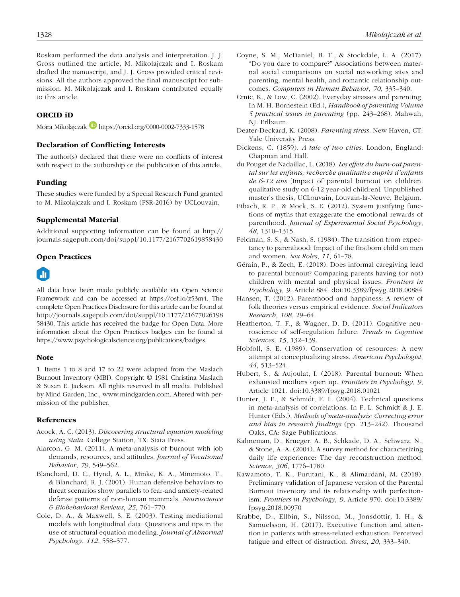Roskam performed the data analysis and interpretation. J. J. Gross outlined the article, M. Mikolajczak and I. Roskam drafted the manuscript, and J. J. Gross provided critical revisions. All the authors approved the final manuscript for submission. M. Mikolajczak and I. Roskam contributed equally to this article.

## ORCID iD

Moïra Mikolajczak https://orcid.org/0000-0002-7333-1578

#### Declaration of Conflicting Interests

The author(s) declared that there were no conflicts of interest with respect to the authorship or the publication of this article.

#### Funding

These studies were funded by a Special Research Fund granted to M. Mikolajczak and I. Roskam (FSR-2016) by UCLouvain.

#### Supplemental Material

Additional supporting information can be found at [http://](http://journals.sagepub.com/doi/suppl/10.1177/2167702619858430) [journals.sagepub.com/doi/suppl/10.1177/2167702619858430](http://journals.sagepub.com/doi/suppl/10.1177/2167702619858430)

#### Open Practices



All data have been made publicly available via Open Science Framework and can be accessed at [https://osf.io/z](https://osf.io/bvjny/)53m4. The complete Open Practices Disclosure for this article can be found at [http://journals.sagepub.com/doi/suppl/10.1177/21677026198](http://journals.sagepub.com/doi/suppl/10.1177/2167702619858430) [58430.](http://journals.sagepub.com/doi/suppl/10.1177/2167702619858430) This article has received the badge for Open Data. More information about the Open Practices badges can be found at [https://www.psychologicalscience.org/publications/badges.](https://www.psychologicalscience.org/publications/badges)

#### Note

1. Items 1 to 8 and 17 to 22 were adapted from the Maslach Burnout Inventory (MBI). Copyright © 1981 Christina Maslach & Susan E. Jackson. All rights reserved in all media. Published by Mind Garden, Inc., [www.mindgarden.com.](www.mindgarden.com) Altered with permission of the publisher.

#### References

- Acock, A. C. (2013). *Discovering structural equation modeling using Stata*. College Station, TX: Stata Press.
- Alarcon, G. M. (2011). A meta-analysis of burnout with job demands, resources, and attitudes. *Journal of Vocational Behavior*, *79*, 549–562.
- Blanchard, D. C., Hynd, A. L., Minke, K. A., Minemoto, T., & Blanchard, R. J. (2001). Human defensive behaviors to threat scenarios show parallels to fear-and anxiety-related defense patterns of non-human mammals. *Neuroscience & Biobehavioral Reviews*, *25*, 761–770.
- Cole, D. A., & Maxwell, S. E. (2003). Testing mediational models with longitudinal data: Questions and tips in the use of structural equation modeling. *Journal of Abnormal Psychology*, *112*, 558–577.
- Coyne, S. M., McDaniel, B. T., & Stockdale, L. A. (2017). "Do you dare to compare?" Associations between maternal social comparisons on social networking sites and parenting, mental health, and romantic relationship outcomes. *Computers in Human Behavior*, *70*, 335–340.
- Crnic, K., & Low, C. (2002). Everyday stresses and parenting. In M. H. Bornestein (Ed.), *Handbook of parenting Volume 5 practical issues in parenting* (pp. 243–268). Mahwah, NJ: Erlbaum.
- Deater-Deckard, K. (2008). *Parenting stress*. New Haven, CT: Yale University Press.
- Dickens, C. (1859). *A tale of two cities*. London, England: Chapman and Hall.
- du Pouget de Nadaillac, L. (2018). *Les effets du burn-out parental sur les enfants, recherche qualitative auprès d'enfants de 6-12 ans* [Impact of parental burnout on children: qualitative study on 6-12 year-old children]. Unpublished master's thesis, UCLouvain, Louvain-la-Neuve, Belgium.
- Eibach, R. P., & Mock, S. E. (2012). System justifying functions of myths that exaggerate the emotional rewards of parenthood. *Journal of Experimental Social Psychology*, *48*, 1310–1315.
- Feldman, S. S., & Nash, S. (1984). The transition from expectancy to parenthood: Impact of the firstborn child on men and women. *Sex Roles*, *11*, 61–78.
- Gérain, P., & Zech, E. (2018). Does informal caregiving lead to parental burnout? Comparing parents having (or not) children with mental and physical issues. *Frontiers in Psychology, 9*, Article 884. doi:10.3389/fpsyg.2018.00884
- Hansen, T. (2012). Parenthood and happiness: A review of folk theories versus empirical evidence. *Social Indicators Research*, *108*, 29–64.
- Heatherton, T. F., & Wagner, D. D. (2011). Cognitive neuroscience of self-regulation failure. *Trends in Cognitive Sciences*, *15*, 132–139.
- Hobfoll, S. E. (1989). Conservation of resources: A new attempt at conceptualizing stress. *American Psychologist*, *44*, 513–524.
- Hubert, S., & Aujoulat, I. (2018). Parental burnout: When exhausted mothers open up. *Frontiers in Psychology*, *9*, Article 1021. doi:10.3389/fpsyg.2018.01021
- Hunter, J. E., & Schmidt, F. L. (2004). Technical questions in meta-analysis of correlations. In F. L. Schmidt & J. E. Hunter (Eds.), *Methods of meta-analysis: Correcting error and bias in research findings* (pp. 213–242). Thousand Oaks, CA: Sage Publications.
- Kahneman, D., Krueger, A. B., Schkade, D. A., Schwarz, N., & Stone, A. A. (2004). A survey method for characterizing daily life experience: The day reconstruction method. *Science*, *306*, 1776–1780.
- Kawamoto, T. K., Furutani, K., & Alimardani, M. (2018). Preliminary validation of Japanese version of the Parental Burnout Inventory and its relationship with perfectionism. *Frontiers in Psychology*, *9*, Article 970. doi:10.3389/ fpsyg.2018.00970
- Krabbe, D., Ellbin, S., Nilsson, M., Jonsdottir, I. H., & Samuelsson, H. (2017). Executive function and attention in patients with stress-related exhaustion: Perceived fatigue and effect of distraction. *Stress*, *20*, 333–340.